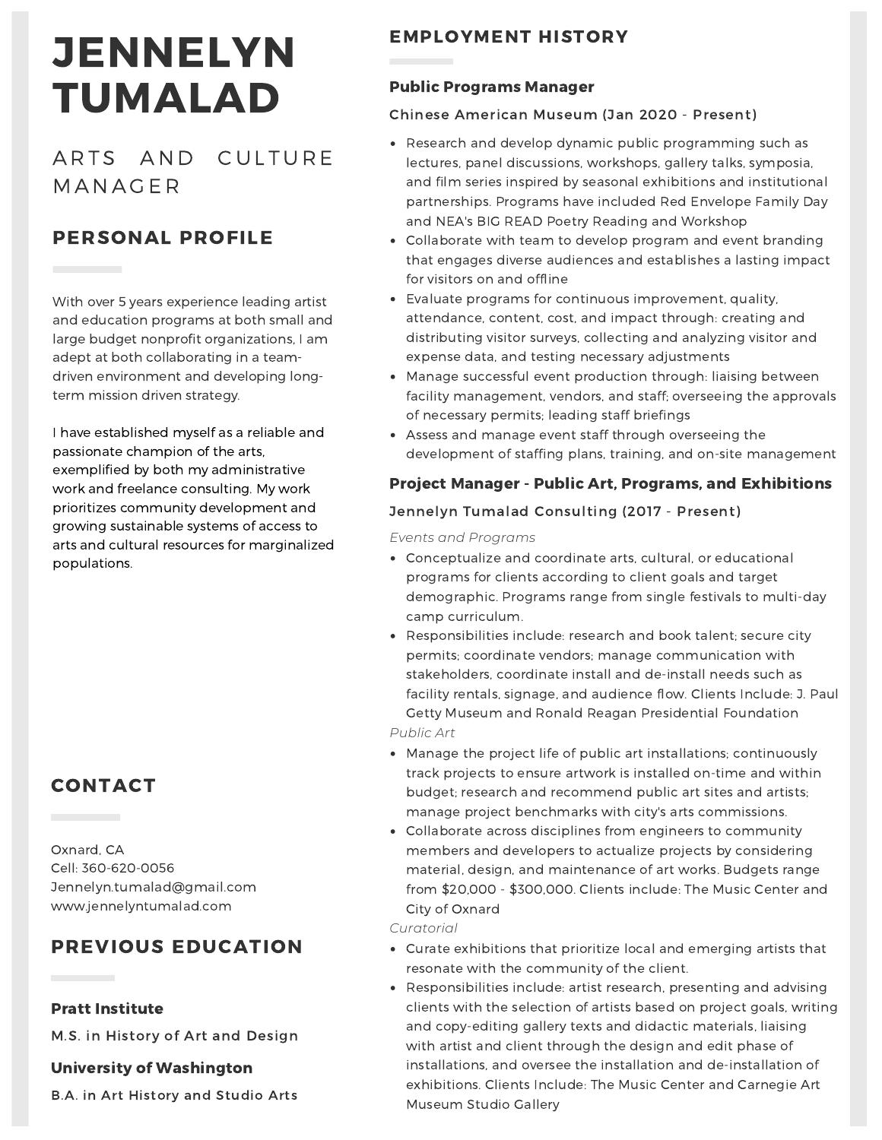# **JENNELYN** TUMALAD

ARTS AND CULTURE **MANAGER** 

# PERSONAL PROFILE

With over 5 years experience leading artist and education programs at both small and large budget nonprofit organizations, I am adept at both collaborating in a teamdriven environment and developing longterm mission driven strategy.

I have established myself as a reliable and passionate champion of the arts, exemplified by both my administrative work and freelance consulting. My work prioritizes community development and growing sustainable systems of access to arts and cultural resources for marginalized populations.

# CONTACT

Oxnard, CA Cell: 360-620-0056 Jennelyn.tumalad@gmail.com www.jennelyntumalad.com

# PREVIOUS EDUCATION

## Pratt Institute

M.S. in History of Art and Design

## University of Washington

B.A. in Art History and Studio Arts

## EMPLOYMENT HISTORY

## Public Programs Manager

## Chinese American Museum (Jan 2020 - Present)

- Research and develop dynamic public programming such as lectures, panel discussions, workshops, gallery talks, symposia, and film series inspired by seasonal exhibitions and institutional partnerships. Programs have included Red Envelope Family Day and NEA's BIG READ Poetry Reading and Workshop
- Collaborate with team to develop program and event branding that engages diverse audiences and establishes a lasting impact for visitors on and offline
- Evaluate programs for continuous improvement, quality, attendance, content, cost, and impact through: creating and distributing visitor surveys, collecting and analyzing visitor and expense data, and testing necessary adjustments
- Manage successful event production through: liaising between facility management, vendors, and staff; overseeing the approvals of necessary permits; leading staff briefings
- Assess and manage event staff through overseeing the development of staffing plans, training, and on-site management

## Project Manager - Public Art, Programs, and Exhibitions

## Jennelyn Tumalad Consulting (2017 - Present)

*Events and Programs*

- Conceptualize and coordinate arts, cultural, or educational programs for clients according to client goals and target demographic. Programs range from single festivals to multi-day camp curriculum.
- Responsibilities include: research and book talent; secure city permits; coordinate vendors; manage communication with stakeholders, coordinate install and de-install needs such as facility rentals, signage, and audience flow. Clients Include: J. Paul Getty Museum and Ronald Reagan Presidential Foundation
- *Public Art*
- Manage the project life of public art installations; continuously track projects to ensure artwork is installed on-time and within budget; research and recommend public art sites and artists; manage project benchmarks with city's arts commissions.
- Collaborate across disciplines from engineers to community members and developers to actualize projects by considering material, design, and maintenance of art works. Budgets range from \$20,000 - \$300,000. Clients include: The Music Center and City of Oxnard

*Curatorial*

- Curate exhibitions that prioritize local and emerging artists that resonate with the community of the client.
- Responsibilities include: artist research, presenting and advising clients with the selection of artists based on project goals, writing and copy-editing gallery texts and didactic materials, liaising with artist and client through the design and edit phase of installations, and oversee the installation and de-installation of exhibitions. Clients Include: The Music Center and Carnegie Art Museum Studio Gallery